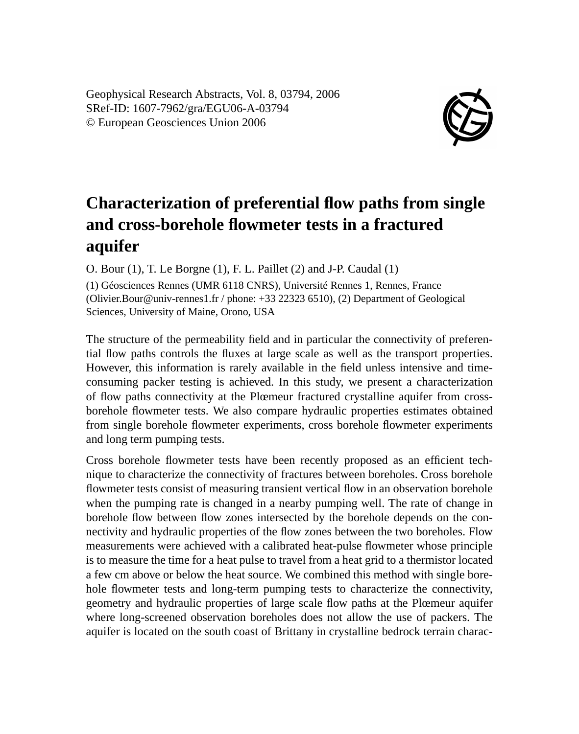Geophysical Research Abstracts, Vol. 8, 03794, 2006 SRef-ID: 1607-7962/gra/EGU06-A-03794 © European Geosciences Union 2006



## **Characterization of preferential flow paths from single and cross-borehole flowmeter tests in a fractured aquifer**

O. Bour (1), T. Le Borgne (1), F. L. Paillet (2) and J-P. Caudal (1)

(1) Géosciences Rennes (UMR 6118 CNRS), Université Rennes 1, Rennes, France (Olivier.Bour@univ-rennes1.fr / phone: +33 22323 6510), (2) Department of Geological Sciences, University of Maine, Orono, USA

The structure of the permeability field and in particular the connectivity of preferential flow paths controls the fluxes at large scale as well as the transport properties. However, this information is rarely available in the field unless intensive and timeconsuming packer testing is achieved. In this study, we present a characterization of flow paths connectivity at the Plœmeur fractured crystalline aquifer from crossborehole flowmeter tests. We also compare hydraulic properties estimates obtained from single borehole flowmeter experiments, cross borehole flowmeter experiments and long term pumping tests.

Cross borehole flowmeter tests have been recently proposed as an efficient technique to characterize the connectivity of fractures between boreholes. Cross borehole flowmeter tests consist of measuring transient vertical flow in an observation borehole when the pumping rate is changed in a nearby pumping well. The rate of change in borehole flow between flow zones intersected by the borehole depends on the connectivity and hydraulic properties of the flow zones between the two boreholes. Flow measurements were achieved with a calibrated heat-pulse flowmeter whose principle is to measure the time for a heat pulse to travel from a heat grid to a thermistor located a few cm above or below the heat source. We combined this method with single borehole flowmeter tests and long-term pumping tests to characterize the connectivity, geometry and hydraulic properties of large scale flow paths at the Plœmeur aquifer where long-screened observation boreholes does not allow the use of packers. The aquifer is located on the south coast of Brittany in crystalline bedrock terrain charac